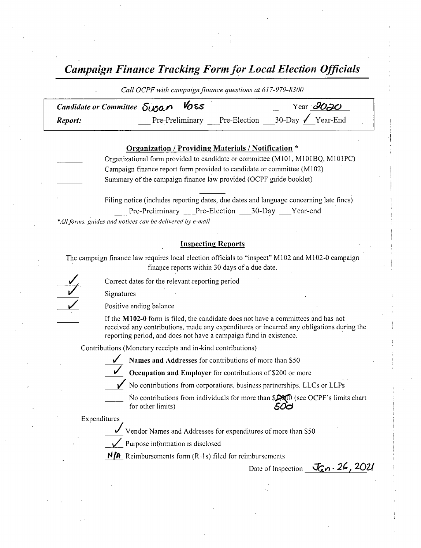## Campaign Finance Tracking Form for Local Election Officials

| Call OCPF with campaign finance questions at 01/-9/9-8300 |                              |  |                                 |  |  |  |
|-----------------------------------------------------------|------------------------------|--|---------------------------------|--|--|--|
| Candidate or Committee Susan Voss<br>Year $\partial O$ JO |                              |  |                                 |  |  |  |
| Report:                                                   | Pre-Preliminary Pre-Election |  | $30$ -Day $\checkmark$ Year-End |  |  |  |

| Organization / Providing Materials / Notification * |                                                                                        |  |  |  |
|-----------------------------------------------------|----------------------------------------------------------------------------------------|--|--|--|
|                                                     | Organizational form provided to candidate or committee (M101, M101BQ, M101PC)          |  |  |  |
|                                                     | Campaign finance report form provided to candidate or committee (M102)                 |  |  |  |
|                                                     | Summary of the campaign finance law provided (OCPF guide booklet)                      |  |  |  |
|                                                     |                                                                                        |  |  |  |
|                                                     | Filing notice (includes reporting dates, due dates and language concerning late fines) |  |  |  |
|                                                     | Pre-Preliminary Pre-Election 30-Day Year-end                                           |  |  |  |

\*All forms, guides and notices can be delivered by e-mail

#### Inspecting Reports

The campaign finance law requires local election officials to "inspect" M102 and M102-0 campaign finance reports within 30 days of <sup>a</sup> due date.

Correct dates for the relevant-reporting period

Signatures

Positive ending balance

If the M102-0 form is filed, the candidate does not have a committees and has not received any contributions, made any expenditures or incurred any obligations during the reporting period, and does not have <sup>a</sup> campaign fund in existence.

Contributions ( Monetary receipts and in- kind contributions)

Names and Addresses for contributions of more than S50



Occupation and Employer for contributions of \$200 or more

 $\checkmark$  No contributions from corporations, business partnerships, LLCs or LLPs



No contributions from individuals for more than  $$1$  (see OCPF's limits chart

for other limits)  $50<sub>d</sub>$ 

Expenditures/

Vendor Names and Addresses for expenditures of more than \$50



Purpose information is disclosed

 $N/A$  Reimbursements form (R-1s) filed for reimbursements

Date of Inspection  $\bar{J}_{\alpha n}$  · 26, 2021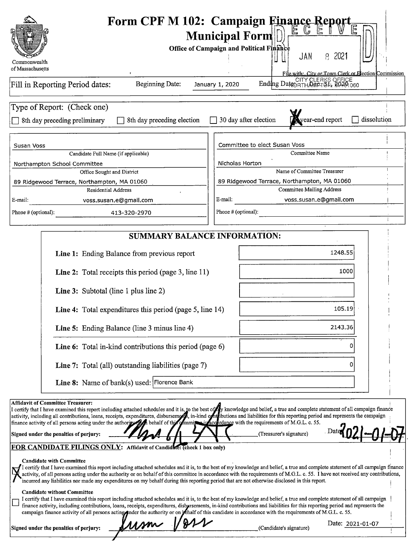| Commonwealth<br>of Massachusetts                                                                                                                                                                                                                                                                                                                                                                                                                                                                                                                                                                                                                                                                                                                                                                                                                                                                                                                                                                                                                                                                                                                                                                                                                                                                                                                                                                                                                                              | Form CPF M 102: Campaign Finance Report<br>्चि<br><b>Municipal Form</b><br>Office of Campaign and Political Finance<br>-2021<br>JAN<br>8<br>File with: City or Town Clerk or Election Commission                                                                                                                                                                                                                                             |
|-------------------------------------------------------------------------------------------------------------------------------------------------------------------------------------------------------------------------------------------------------------------------------------------------------------------------------------------------------------------------------------------------------------------------------------------------------------------------------------------------------------------------------------------------------------------------------------------------------------------------------------------------------------------------------------------------------------------------------------------------------------------------------------------------------------------------------------------------------------------------------------------------------------------------------------------------------------------------------------------------------------------------------------------------------------------------------------------------------------------------------------------------------------------------------------------------------------------------------------------------------------------------------------------------------------------------------------------------------------------------------------------------------------------------------------------------------------------------------|----------------------------------------------------------------------------------------------------------------------------------------------------------------------------------------------------------------------------------------------------------------------------------------------------------------------------------------------------------------------------------------------------------------------------------------------|
| <b>Beginning Date:</b><br>Fill in Reporting Period dates:                                                                                                                                                                                                                                                                                                                                                                                                                                                                                                                                                                                                                                                                                                                                                                                                                                                                                                                                                                                                                                                                                                                                                                                                                                                                                                                                                                                                                     | Ending Date: CITY CLERKS OFFICE<br>January 1, 2020                                                                                                                                                                                                                                                                                                                                                                                           |
| Type of Report: (Check one)<br>8th day preceding election<br>8th day preceding preliminary                                                                                                                                                                                                                                                                                                                                                                                                                                                                                                                                                                                                                                                                                                                                                                                                                                                                                                                                                                                                                                                                                                                                                                                                                                                                                                                                                                                    | dissolution<br>30 day after election<br>ear-end report                                                                                                                                                                                                                                                                                                                                                                                       |
| Susan Voss<br>Candidate Full Name (if applicable)<br>Northampton School Committee<br>Office Sought and District<br>89 Ridgewood Terrace, Northampton, MA 01060<br><b>Residential Address</b><br>E-mail:<br>voss.susan.e@gmail.com                                                                                                                                                                                                                                                                                                                                                                                                                                                                                                                                                                                                                                                                                                                                                                                                                                                                                                                                                                                                                                                                                                                                                                                                                                             | Committee to elect Susan Voss<br>Committee Name<br>Nicholas Horton<br>Name of Committee Treasurer<br>89 Ridgewood Terrace, Northampton, MA 01060<br><b>Committee Mailing Address</b><br>E-mail:<br>voss.susan.e@gmail.com                                                                                                                                                                                                                    |
| Phone # (optional):<br>413-320-2970                                                                                                                                                                                                                                                                                                                                                                                                                                                                                                                                                                                                                                                                                                                                                                                                                                                                                                                                                                                                                                                                                                                                                                                                                                                                                                                                                                                                                                           | Phone # (optional):                                                                                                                                                                                                                                                                                                                                                                                                                          |
| <b>SUMMARY BALANCE INFORMATION:</b>                                                                                                                                                                                                                                                                                                                                                                                                                                                                                                                                                                                                                                                                                                                                                                                                                                                                                                                                                                                                                                                                                                                                                                                                                                                                                                                                                                                                                                           |                                                                                                                                                                                                                                                                                                                                                                                                                                              |
| Line 1: Ending Balance from previous report<br>Line 2: Total receipts this period (page 3, line 11)<br><b>Line 3:</b> Subtotal (line 1 plus line 2)<br>Line 4: Total expenditures this period (page 5, line 14)<br>Line 5: Ending Balance (line 3 minus line 4)<br>Line 6: Total in-kind contributions this period (page 6)<br>Line 7: Total (all) outstanding liabilities (page 7)<br>Line 8: Name of bank(s) used: Florence Bank                                                                                                                                                                                                                                                                                                                                                                                                                                                                                                                                                                                                                                                                                                                                                                                                                                                                                                                                                                                                                                            | 1248.55<br>1000<br>105.19<br>2143.36                                                                                                                                                                                                                                                                                                                                                                                                         |
| <b>Affidavit of Committee Treasurer:</b><br>I certify that I have examined this report including attached schedules and it is, to the best of fy knowledge and belief, a true and complete statement of all campaign finance<br>activity, including all contributions, loans, receipts, expenditures, disbursements, in-kind on this and liabilities for this reporting period and represents the campaign<br>finance activity of all persons acting under the authority of behalf of this of mmix in accordance with the requirements of M.G.L. c. 55.<br>Signed under the penalties of perjury:<br>FOR CANDIDATE FILINGS ONLY: Affidavit of Candidate: (check 1 box only)<br><b>Candidate with Committee</b><br>incurred any liabilities nor made any expenditures on my behalf during this reporting period that are not otherwise disclosed in this report.<br><b>Candidate without Committee</b><br>I certify that I have examined this report including attached schedules and it is, to the best of my knowledge and belief, a true and complete statement of all campaign<br>finance activity, including contributions, loans, receipts, expenditures, disbursements, in-kind contributions and liabilities for this reporting period and represents the<br>campaign finance activity of all persons acting ander the authority or on lehalf of this candidate in accordance with the requirements of M.G.L. c. 55.<br>um 1<br>Signed under the penalties of perjury: | (Treasurer's signature)<br>I certify that I have examined this report including attached schedules and it is, to the best of my knowledge and belief, a true and complete statement of all campaign finance<br>activity, of all persons acting under the authority or on behalf of this committee in accordance with the requirements of M.G.L. c. 55. I have not received any contributions,<br>Date: 2021-01-07<br>(Candidate's signature) |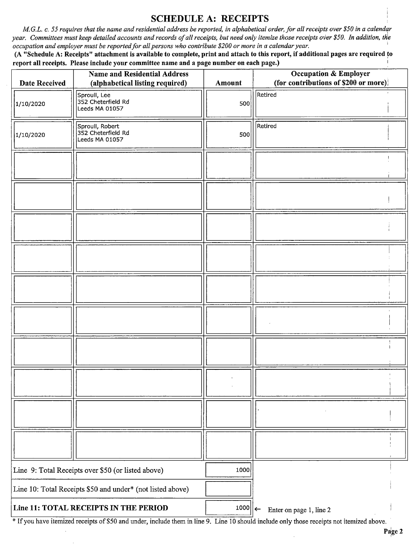### SCHEDULE A: RECEIPTS

M.G.L. c. 55 requires that the name and residential address be reported, in alphabetical order, for all receipts over \$50 in a calendar year. Committees must keep detailed accounts and records of all receipts, but need only itemize those receipts over \$50. In addition, the occupation and employer must be reported for all persons who contribute \$200 or more in a calendar year.

(A "Schedule A: Receipts" attachment is available to complete, print and attach to this report, if additional pages are required to report all receipts. Please include your committee name and a page number on each page.)

| <b>Date Received</b>                                       | <b>Name and Residential Address</b><br>(alphabetical listing required) | Amount                | <b>Occupation &amp; Employer</b><br>(for contributions of \$200 or more) |
|------------------------------------------------------------|------------------------------------------------------------------------|-----------------------|--------------------------------------------------------------------------|
| 1/10/2020                                                  | Sproull, Lee<br>352 Cheterfield Rd<br>Leeds MA 01057                   | 500                   | Retired                                                                  |
| 1/10/2020                                                  | Sproull, Robert<br>352 Cheterfield Rd<br>Leeds MA 01057                | 500                   | Retired                                                                  |
|                                                            |                                                                        |                       |                                                                          |
|                                                            |                                                                        |                       |                                                                          |
|                                                            |                                                                        |                       |                                                                          |
|                                                            |                                                                        |                       |                                                                          |
|                                                            |                                                                        |                       |                                                                          |
|                                                            |                                                                        |                       |                                                                          |
|                                                            |                                                                        |                       |                                                                          |
|                                                            |                                                                        |                       |                                                                          |
|                                                            |                                                                        |                       |                                                                          |
|                                                            |                                                                        |                       |                                                                          |
| Line 9: Total Receipts over \$50 (or listed above)         |                                                                        | 1000                  |                                                                          |
| Line 10: Total Receipts \$50 and under* (not listed above) |                                                                        |                       |                                                                          |
| Line 11: TOTAL RECEIPTS IN THE PERIOD                      |                                                                        | $1000$   $\leftarrow$ | Enter on page 1, line 2                                                  |

If you have itemized receipts of\$ <sup>50</sup> and under, include them in line 9. Line <sup>10</sup> should include only those receipts not itemized above.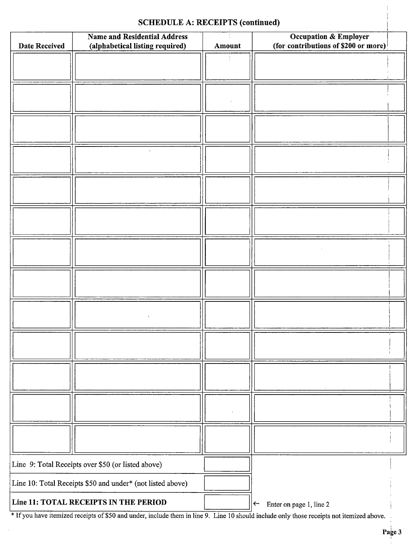# SCHEDULE A: RECEIPTS (continued)

|                      | SCHEDULE A: RECEIPTS (continued)                                       |        |                                                                          |  |  |  |
|----------------------|------------------------------------------------------------------------|--------|--------------------------------------------------------------------------|--|--|--|
| <b>Date Received</b> | <b>Name and Residential Address</b><br>(alphabetical listing required) | Amount | <b>Occupation &amp; Employer</b><br>(for contributions of \$200 or more) |  |  |  |
|                      |                                                                        |        |                                                                          |  |  |  |
|                      |                                                                        |        |                                                                          |  |  |  |
|                      |                                                                        |        |                                                                          |  |  |  |
|                      |                                                                        |        |                                                                          |  |  |  |
|                      |                                                                        |        |                                                                          |  |  |  |
|                      |                                                                        |        |                                                                          |  |  |  |
|                      |                                                                        |        |                                                                          |  |  |  |
|                      |                                                                        |        |                                                                          |  |  |  |
|                      |                                                                        |        |                                                                          |  |  |  |
|                      |                                                                        |        |                                                                          |  |  |  |
|                      |                                                                        |        |                                                                          |  |  |  |
|                      |                                                                        |        |                                                                          |  |  |  |
|                      |                                                                        |        |                                                                          |  |  |  |
|                      |                                                                        |        |                                                                          |  |  |  |
|                      |                                                                        |        |                                                                          |  |  |  |
|                      |                                                                        |        |                                                                          |  |  |  |
|                      |                                                                        |        |                                                                          |  |  |  |
|                      |                                                                        |        |                                                                          |  |  |  |
|                      |                                                                        |        |                                                                          |  |  |  |
|                      |                                                                        |        |                                                                          |  |  |  |
|                      |                                                                        |        |                                                                          |  |  |  |
|                      |                                                                        |        |                                                                          |  |  |  |
|                      |                                                                        |        |                                                                          |  |  |  |
|                      |                                                                        |        |                                                                          |  |  |  |
|                      |                                                                        |        |                                                                          |  |  |  |
|                      |                                                                        |        |                                                                          |  |  |  |
|                      | Line 9: Total Receipts over \$50 (or listed above)                     |        |                                                                          |  |  |  |
|                      | Line 10: Total Receipts \$50 and under* (not listed above)             |        |                                                                          |  |  |  |
|                      | Line 11: TOTAL RECEIPTS IN THE PERIOD                                  |        | Enter on page 1, line 2<br>$\left \leftarrow\right $                     |  |  |  |

<sup>\*</sup> If you have itemized receipts of \$50 and under, include them in line 9. Line 10 should include only those receipts not itemized above.

 $\frac{1}{4}$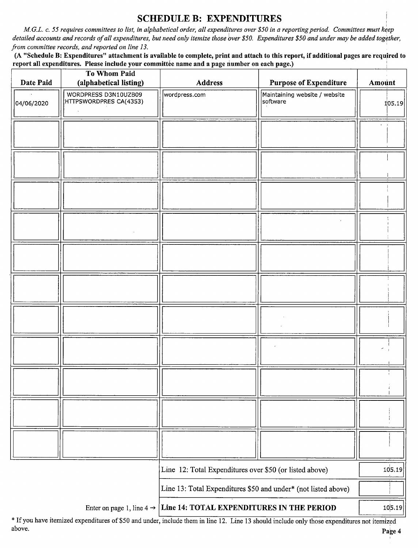#### SCHEDULE B: EXPENDITURES

M.G.L. c. 55 requires committees to list, in alphabetical order, all expenditures over \$50 in a reporting period. Committees must keep detailed accounts and records of all expenditures, but need only itemize those over \$50. Expenditures \$50 and under may be added together, from committee records, and reported on line 13.

A " Schedule B: Expenditures" attachment is available to complete, print and attach to this report, if additional pages are required to report all expenditures. Please include your committée name and a page number on each page.)

|                                                                | To Whom Paid                                                                               |                                                         |                                           |        |
|----------------------------------------------------------------|--------------------------------------------------------------------------------------------|---------------------------------------------------------|-------------------------------------------|--------|
| Date Paid                                                      | (alphabetical listing)                                                                     | <b>Address</b>                                          | <b>Purpose of Expenditure</b>             | Amount |
| 04/06/2020                                                     | WORDPRESS D3N10UZB09<br>HTTPSWORDPRES CA(4353)                                             | wordpress.com                                           | Maintaining website / website<br>software | 105.19 |
|                                                                |                                                                                            |                                                         |                                           |        |
|                                                                |                                                                                            |                                                         |                                           |        |
|                                                                |                                                                                            |                                                         |                                           |        |
|                                                                |                                                                                            |                                                         |                                           |        |
|                                                                |                                                                                            |                                                         |                                           |        |
|                                                                |                                                                                            |                                                         |                                           |        |
|                                                                |                                                                                            |                                                         |                                           |        |
|                                                                |                                                                                            |                                                         |                                           |        |
|                                                                |                                                                                            |                                                         |                                           |        |
|                                                                |                                                                                            |                                                         |                                           |        |
|                                                                |                                                                                            |                                                         |                                           |        |
|                                                                |                                                                                            |                                                         |                                           |        |
|                                                                |                                                                                            | Line 12: Total Expenditures over \$50 (or listed above) |                                           | 105.19 |
| Line 13: Total Expenditures \$50 and under* (not listed above) |                                                                                            |                                                         |                                           |        |
|                                                                | 10,5.19<br>Enter on page 1, line $4 \rightarrow$ Line 14: TOTAL EXPENDITURES IN THE PERIOD |                                                         |                                           |        |

<sup>\*</sup> If you have itemized expenditures of \$50 and under, include them in line 12. Line 13 should include only those expenditures not itemized above. above. Page 4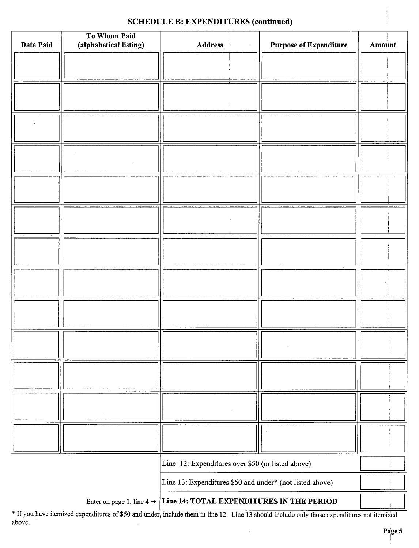### SCHEDULE B: EXPENDITURES (continued)

| Date Paid                                                                       | To Whom Paid<br>(alphabetical listing) | <b>Address</b>                                           |  | <b>Purpose of Expenditure</b> | Amount |
|---------------------------------------------------------------------------------|----------------------------------------|----------------------------------------------------------|--|-------------------------------|--------|
|                                                                                 |                                        |                                                          |  |                               |        |
|                                                                                 |                                        |                                                          |  |                               |        |
|                                                                                 |                                        |                                                          |  |                               |        |
|                                                                                 |                                        |                                                          |  |                               |        |
|                                                                                 |                                        |                                                          |  |                               |        |
|                                                                                 |                                        |                                                          |  |                               |        |
|                                                                                 |                                        |                                                          |  |                               |        |
|                                                                                 |                                        |                                                          |  |                               |        |
|                                                                                 |                                        |                                                          |  |                               |        |
|                                                                                 |                                        |                                                          |  |                               |        |
|                                                                                 |                                        |                                                          |  |                               |        |
|                                                                                 |                                        |                                                          |  |                               |        |
|                                                                                 |                                        |                                                          |  |                               |        |
|                                                                                 |                                        |                                                          |  |                               |        |
|                                                                                 |                                        |                                                          |  |                               |        |
|                                                                                 |                                        |                                                          |  |                               |        |
|                                                                                 |                                        |                                                          |  |                               |        |
|                                                                                 |                                        |                                                          |  |                               |        |
|                                                                                 |                                        |                                                          |  |                               |        |
|                                                                                 |                                        |                                                          |  |                               |        |
|                                                                                 |                                        |                                                          |  |                               |        |
|                                                                                 |                                        |                                                          |  |                               |        |
|                                                                                 |                                        |                                                          |  |                               |        |
|                                                                                 |                                        |                                                          |  |                               |        |
|                                                                                 |                                        |                                                          |  |                               |        |
| Line 12: Expenditures over \$50 (or listed above)                               |                                        |                                                          |  |                               |        |
|                                                                                 |                                        | Line 13: Expenditures \$50 and under* (not listed above) |  |                               |        |
| Enter on page 1, line $4 \rightarrow$ Line 14: TOTAL EXPENDITURES IN THE PERIOD |                                        |                                                          |  |                               |        |

If you have itemized expenditures of\$50 and under, include them in line 12. Line <sup>13</sup> should include only those expenditures not itemized above.  $\ddot{\phantom{a}}$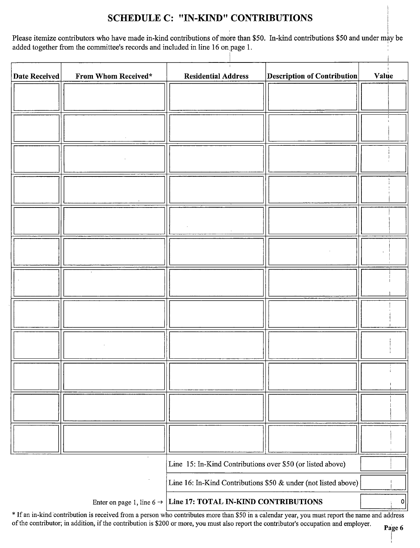### SCHEDULE C: " IN-KIND" CONTRIBUTIONS

Please itemize contributors who have made in-kind contributions of more than \$50. In-kind contributions \$50 and under may be added together from the committee's records and included in line 16 on page 1.

| <b>Date Received</b>                                           | From Whom Received*                   | <b>Residential Address</b>                                 | <b>Description of Contribution</b> | Value |
|----------------------------------------------------------------|---------------------------------------|------------------------------------------------------------|------------------------------------|-------|
|                                                                |                                       |                                                            |                                    |       |
|                                                                |                                       |                                                            |                                    |       |
|                                                                |                                       |                                                            |                                    |       |
|                                                                |                                       |                                                            |                                    |       |
|                                                                |                                       |                                                            |                                    |       |
|                                                                |                                       |                                                            |                                    |       |
|                                                                |                                       |                                                            |                                    |       |
|                                                                |                                       |                                                            |                                    |       |
|                                                                |                                       |                                                            |                                    |       |
|                                                                |                                       |                                                            |                                    |       |
|                                                                |                                       |                                                            |                                    |       |
|                                                                |                                       |                                                            |                                    |       |
|                                                                |                                       |                                                            |                                    |       |
|                                                                |                                       |                                                            |                                    |       |
|                                                                |                                       |                                                            |                                    |       |
|                                                                |                                       |                                                            |                                    |       |
|                                                                | $\lambda$                             | Line 15: In-Kind Contributions over \$50 (or listed above) |                                    |       |
| Line 16: In-Kind Contributions \$50 & under (not listed above) |                                       |                                                            |                                    |       |
|                                                                | Enter on page 1, line 6 $\rightarrow$ | Line 17: TOTAL IN-KIND CONTRIBUTIONS                       |                                    | 0     |

\* If an in-kind contribution is received from a person who contributes more than \$50 in a calendar year, you must report the name and address of the contributor; in addition, if the contribution is\$ <sup>200</sup> or more, you must also report the contributor's occupation and employer.